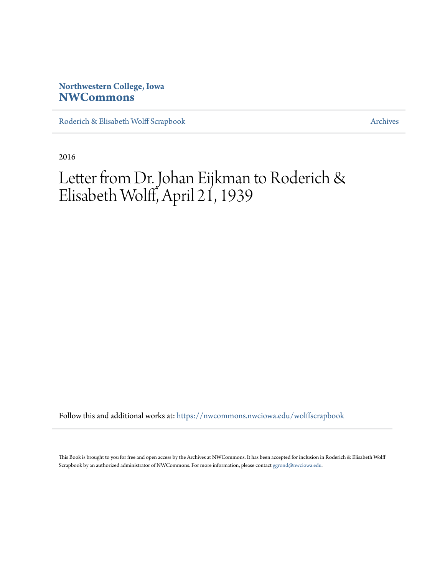## **Northwestern College, Iowa [NWCommons](https://nwcommons.nwciowa.edu?utm_source=nwcommons.nwciowa.edu%2Fwolffscrapbook%2F7&utm_medium=PDF&utm_campaign=PDFCoverPages)**

[Roderich & Elisabeth Wolff Scrapbook](https://nwcommons.nwciowa.edu/wolffscrapbook?utm_source=nwcommons.nwciowa.edu%2Fwolffscrapbook%2F7&utm_medium=PDF&utm_campaign=PDFCoverPages) [Archives](https://nwcommons.nwciowa.edu/archives?utm_source=nwcommons.nwciowa.edu%2Fwolffscrapbook%2F7&utm_medium=PDF&utm_campaign=PDFCoverPages)

2016

## Letter from Dr. Johan Eijkman to Roderich & Elisabeth Wolff, April 21, 1939

Follow this and additional works at: [https://nwcommons.nwciowa.edu/wolffscrapbook](https://nwcommons.nwciowa.edu/wolffscrapbook?utm_source=nwcommons.nwciowa.edu%2Fwolffscrapbook%2F7&utm_medium=PDF&utm_campaign=PDFCoverPages)

This Book is brought to you for free and open access by the Archives at NWCommons. It has been accepted for inclusion in Roderich & Elisabeth Wolff Scrapbook by an authorized administrator of NWCommons. For more information, please contact [ggrond@nwciowa.edu.](mailto:ggrond@nwciowa.edu)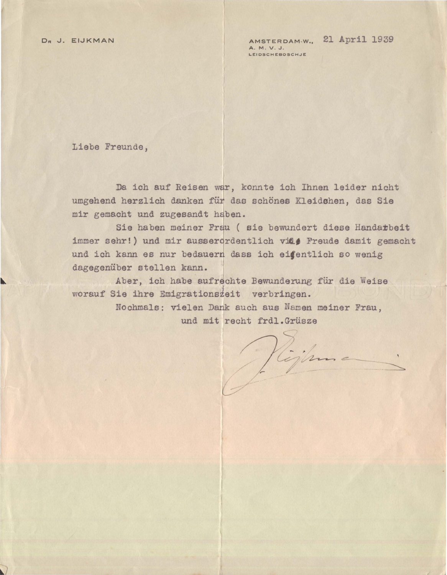DR J. EIJKMAN AMSTERDAM-W., 21 April 1939 **LEIDSCHEBOSCH.JE** 

Liebe Freunde,

Da ich auf Reisen war, konnte ich Ihnen leider nicht umgehend herzlich danken für das schönes Kleidshen, das Sie mir gemacht und zugesandt haben.

Sie haben meiner Frau ( sie bewundert diese Handarbeit immer sehr!) und mir ausser grientlich vill<sup>2</sup> Freude damit gemacht und ich kann es nur bedauern dass ich eifentlich so wenig dagegeniiber stellen kann.

Aber, ich habe aufrechte Bewunderung fiir die Weise worauf Sie ihre Emigrationszeit verbringen.

> Nochmals: vielen Dank auch aus Naman meiner Frau, und mit recht frdl.Grüsze

Vight